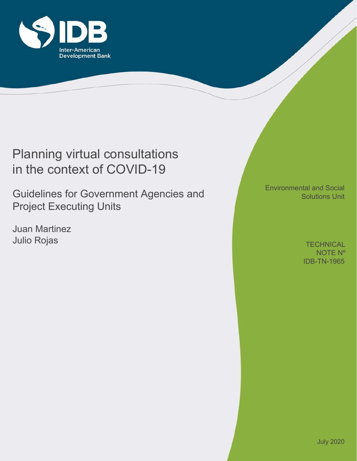

# Planning virtual consultations in the context of COVID-19

Guidelines for Government Agencies and Project Executing Units

Juan Martinez Julio Rojas

Environmental and Social Solutions Unit

> IDB-TN-1965 **TECHNICAL** NOTE Nº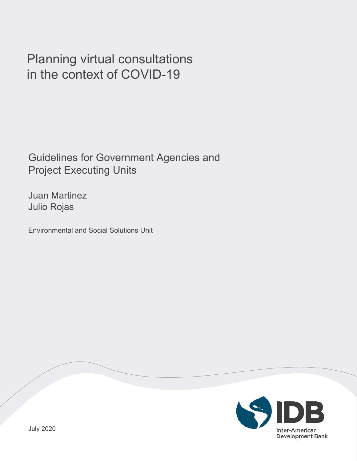# Planning virtual consultations in the context of COVID-19

Guidelines for Government Agencies and Project Executing Units

Juan Martinez Julio Rojas

Environmental and Social Solutions Unit

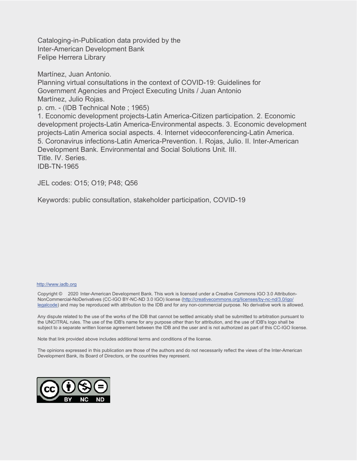Cataloging-in-Publication data provided by the Inter-American Development Bank Felipe Herrera Library

Martínez, Juan Antonio. Planning virtual consultations in the context of COVID-19: Guidelines for Government Agencies and Project Executing Units / Juan Antonio Martínez, Julio Rojas. p. cm. - (IDB Technical Note ; 1965) 1. Economic development projects-Latin America-Citizen participation. 2. Economic development projects-Latin America-Environmental aspects. 3. Economic development projects-Latin America social aspects. 4. Internet videoconferencing-Latin America. 5. Coronavirus infections-Latin America-Prevention. I. Rojas, Julio. II. Inter-American Development Bank. Environmental and Social Solutions Unit. III. Title. IV. Series. IDB-TN-1965

JEL codes: O15; O19; P48; Q56

Keywords: public consultation, stakeholder participation, COVID-19

#### http://www.iadb.org

Copyright © 2020 Inter-American Development Bank. This work is licensed under a Creative Commons IGO 3.0 Attribution-NonCommercial-NoDerivatives (CC-IGO BY-NC-ND 3.0 IGO) license (http://creativecommons.org/licenses/by-nc-nd/3.0/igo/ legalcode) and may be reproduced with attribution to the IDB and for any non-commercial purpose. No derivative work is allowed.

Any dispute related to the use of the works of the IDB that cannot be settled amicably shall be submitted to arbitration pursuant to the UNCITRAL rules. The use of the IDB's name for any purpose other than for attribution, and the use of IDB's logo shall be subject to a separate written license agreement between the IDB and the user and is not authorized as part of this CC-IGO license.

Note that link provided above includes additional terms and conditions of the license.

The opinions expressed in this publication are those of the authors and do not necessarily reflect the views of the Inter-American Development Bank, its Board of Directors, or the countries they represent.

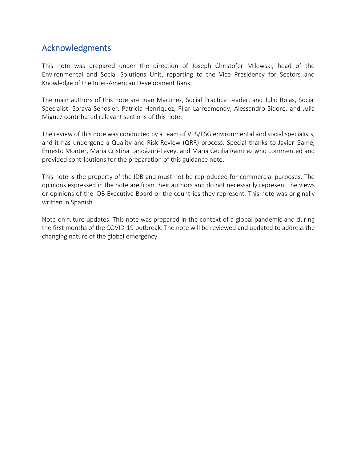## <span id="page-3-0"></span>Acknowledgments

This note was prepared under the direction of Joseph Christofer Milewski, head of the Environmental and Social Solutions Unit, reporting to the Vice Presidency for Sectors and Knowledge of the Inter-American Development Bank.

The main authors of this note are Juan Martinez, Social Practice Leader, and Julio Rojas, Social Specialist. Soraya Senosier, Patricia Henriquez, Pilar Larreamendy, Alessandro Sidore, and Julia Miguez contributed relevant sections of this note.

The review of this note was conducted by a team of VPS/ESG environmental and social specialists, and it has undergone a Quality and Risk Review (QRR) process. Special thanks to Javier Game, Ernesto Monter, María Cristina Landázuri-Levey, and María Cecilia Ramirez who commented and provided contributions for the preparation of this guidance note.

This note is the property of the IDB and must not be reproduced for commercial purposes. The opinions expressed in the note are from their authors and do not necessarily represent the views or opinions of the IDB Executive Board or the countries they represent. This note was originally written in Spanish.

Note on future updates. This note was prepared in the context of a global pandemic and during the first months of the COVID-19 outbreak. The note will be reviewed and updated to address the changing nature of the global emergency.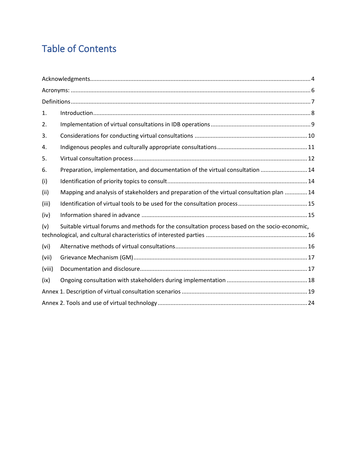# Table of Contents

| 1.     |                                                                                               |
|--------|-----------------------------------------------------------------------------------------------|
| 2.     |                                                                                               |
| 3.     |                                                                                               |
| 4.     |                                                                                               |
| 5.     |                                                                                               |
| 6.     | Preparation, implementation, and documentation of the virtual consultation  14                |
| (i)    |                                                                                               |
| (ii)   | Mapping and analysis of stakeholders and preparation of the virtual consultation plan  14     |
| (iii)  |                                                                                               |
| (iv)   |                                                                                               |
| (v)    | Suitable virtual forums and methods for the consultation process based on the socio-economic, |
| (vi)   |                                                                                               |
| (vii)  |                                                                                               |
| (viii) |                                                                                               |
| (ix)   |                                                                                               |
|        |                                                                                               |
|        |                                                                                               |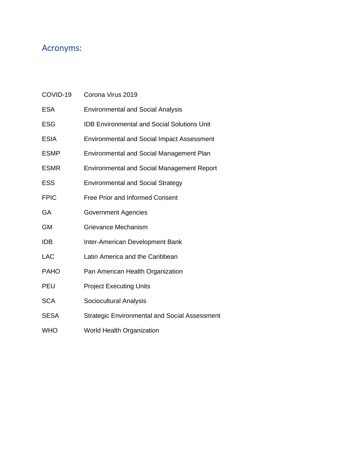# <span id="page-5-0"></span>Acronyms:

| COVID-19    | Corona Virus 2019                                    |
|-------------|------------------------------------------------------|
| ESA         | <b>Environmental and Social Analysis</b>             |
| <b>ESG</b>  | <b>IDB Environmental and Social Solutions Unit</b>   |
| <b>ESIA</b> | <b>Environmental and Social Impact Assessment</b>    |
| <b>ESMP</b> | Environmental and Social Management Plan             |
| <b>ESMR</b> | <b>Environmental and Social Management Report</b>    |
| <b>ESS</b>  | <b>Environmental and Social Strategy</b>             |
| <b>FPIC</b> | <b>Free Prior and Informed Consent</b>               |
| GA          | <b>Government Agencies</b>                           |
| GM          | <b>Grievance Mechanism</b>                           |
| IDB         | Inter-American Development Bank                      |
| LAC         | Latin America and the Caribbean                      |
| <b>PAHO</b> | Pan American Health Organization                     |
| PEU         | <b>Project Executing Units</b>                       |
| <b>SCA</b>  | Sociocultural Analysis                               |
| <b>SESA</b> | <b>Strategic Environmental and Social Assessment</b> |
| WHO         | World Health Organization                            |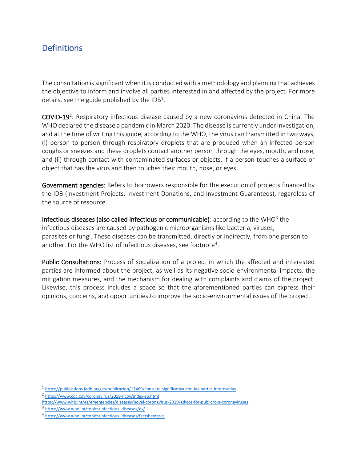# <span id="page-6-0"></span>**Definitions**

The consultation is significant when it is conducted with a methodology and planning that achieves the objective to inform and involve all parties interested in and affected by the project. For more details, see the guide published by the IDB<sup>1</sup>.

COVID-19<sup>2</sup>: Respiratory infectious disease caused by a new coronavirus detected in China. The WHO declared the disease a pandemic in March 2020. The disease is currently under investigation, and at the time of writing this guide, according to the WHO, the virus can transmitted in two ways, (i) person to person through respiratory droplets that are produced when an infected person coughs or sneezes and these droplets contact another person through the eyes, mouth, and nose, and (ii) through contact with contaminated surfaces or objects, if a person touches a surface or object that has the virus and then touches their mouth, nose, or eyes.

Government agencies: Refers to borrowers responsible for the execution of projects financed by the IDB (Investment Projects, Investment Donations, and Investment Guarantees), regardless of the source of resource.

Infectious diseases (also called infectious or communicable): according to the WHO<sup>3</sup> the infectious diseases are caused by pathogenic microorganisms like bacteria, viruses, parasites or fungi. These diseases can be transmitted, directly or indirectly, from one person to another. For the WHO list of infectious diseases, see footnote<sup>4</sup>.

Public Consultations: Process of socialization of a project in which the affected and interested parties are informed about the project, as well as its negative socio-environmental impacts, the mitigation measures, and the mechanism for dealing with complaints and claims of the project. Likewise, this process includes a space so that the aforementioned parties can express their opinions, concerns, and opportunities to improve the socio-environmental issues of the project.

<sup>1</sup> <https://publications.iadb.org/es/publicacion/17469/consulta-significativa-con-las-partes-interesadas>

<sup>2</sup> <https://www.cdc.gov/coronavirus/2019-ncov/index-sp.html>

<https://www.who.int/es/emergencies/diseases/novel-coronavirus-2019/advice-for-public/q-a-coronaviruses>

<sup>3</sup> [https://www.who.int/topics/infectious\\_diseases/es/](https://www.who.int/topics/infectious_diseases/es/)

<sup>4</sup> [https://www.who.int/topics/infectious\\_diseases/factsheets/es](https://www.who.int/topics/infectious_diseases/factsheets/es)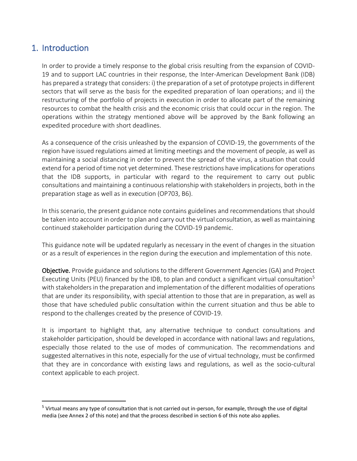## <span id="page-7-0"></span>1. Introduction

In order to provide a timely response to the global crisis resulting from the expansion of COVID-19 and to support LAC countries in their response, the Inter-American Development Bank (IDB) has prepared a strategy that considers: i) the preparation of a set of prototype projects in different sectors that will serve as the basis for the expedited preparation of loan operations; and ii) the restructuring of the portfolio of projects in execution in order to allocate part of the remaining resources to combat the health crisis and the economic crisis that could occur in the region. The operations within the strategy mentioned above will be approved by the Bank following an expedited procedure with short deadlines.

As a consequence of the crisis unleashed by the expansion of COVID-19, the governments of the region have issued regulations aimed at limiting meetings and the movement of people, as well as maintaining a social distancing in order to prevent the spread of the virus, a situation that could extend for a period of time not yet determined. These restrictions have implications for operations that the IDB supports, in particular with regard to the requirement to carry out public consultations and maintaining a continuous relationship with stakeholders in projects, both in the preparation stage as well as in execution (OP703, B6).

In this scenario, the present guidance note contains guidelines and recommendations that should be taken into account in order to plan and carry out the virtual consultation, as well as maintaining continued stakeholder participation during the COVID-19 pandemic.

This guidance note will be updated regularly as necessary in the event of changes in the situation or as a result of experiences in the region during the execution and implementation of this note.

Objective. Provide guidance and solutions to the different Government Agencies (GA) and Project Executing Units (PEU) financed by the IDB, to plan and conduct a significant virtual consultation<sup>5</sup> with stakeholders in the preparation and implementation of the different modalities of operations that are under its responsibility, with special attention to those that are in preparation, as well as those that have scheduled public consultation within the current situation and thus be able to respond to the challenges created by the presence of COVID-19.

It is important to highlight that, any alternative technique to conduct consultations and stakeholder participation, should be developed in accordance with national laws and regulations, especially those related to the use of modes of communication. The recommendations and suggested alternatives in this note, especially for the use of virtual technology, must be confirmed that they are in concordance with existing laws and regulations, as well as the socio-cultural context applicable to each project.

<sup>&</sup>lt;sup>5</sup> Virtual means any type of consultation that is not carried out in-person, for example, through the use of digital media (see Annex 2 of this note) and that the process described in section 6 of this note also applies.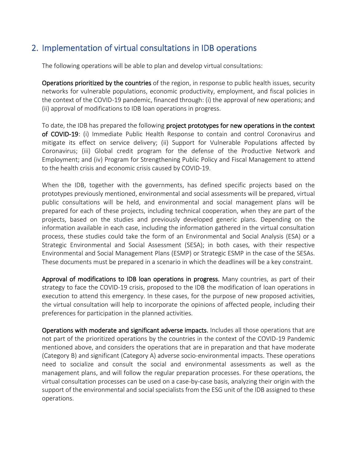# <span id="page-8-0"></span>2. Implementation of virtual consultations in IDB operations

The following operations will be able to plan and develop virtual consultations:

Operations prioritized by the countries of the region, in response to public health issues, security networks for vulnerable populations, economic productivity, employment, and fiscal policies in the context of the COVID-19 pandemic, financed through: (i) the approval of new operations; and (ii) approval of modifications to IDB loan operations in progress.

To date, the IDB has prepared the following project prototypes for new operations in the context of COVID-19: (i) Immediate Public Health Response to contain and control Coronavirus and mitigate its effect on service delivery; (ii) Support for Vulnerable Populations affected by Coronavirus; (iii) Global credit program for the defense of the Productive Network and Employment; and (iv) Program for Strengthening Public Policy and Fiscal Management to attend to the health crisis and economic crisis caused by COVID-19.

When the IDB, together with the governments, has defined specific projects based on the prototypes previously mentioned, environmental and social assessments will be prepared, virtual public consultations will be held, and environmental and social management plans will be prepared for each of these projects, including technical cooperation, when they are part of the projects, based on the studies and previously developed generic plans. Depending on the information available in each case, including the information gathered in the virtual consultation process, these studies could take the form of an Environmental and Social Analysis (ESA) or a Strategic Environmental and Social Assessment (SESA); in both cases, with their respective Environmental and Social Management Plans (ESMP) or Strategic ESMP in the case of the SESAs. These documents must be prepared in a scenario in which the deadlines will be a key constraint.

Approval of modifications to IDB loan operations in progress. Many countries, as part of their strategy to face the COVID-19 crisis, proposed to the IDB the modification of loan operations in execution to attend this emergency. In these cases, for the purpose of new proposed activities, the virtual consultation will help to incorporate the opinions of affected people, including their preferences for participation in the planned activities.

Operations with moderate and significant adverse impacts. Includes all those operations that are not part of the prioritized operations by the countries in the context of the COVID-19 Pandemic mentioned above, and considers the operations that are in preparation and that have moderate (Category B) and significant (Category A) adverse socio-environmental impacts. These operations need to socialize and consult the social and environmental assessments as well as the management plans, and will follow the regular preparation processes. For these operations, the virtual consultation processes can be used on a case-by-case basis, analyzing their origin with the support of the environmental and social specialists from the ESG unit of the IDB assigned to these operations.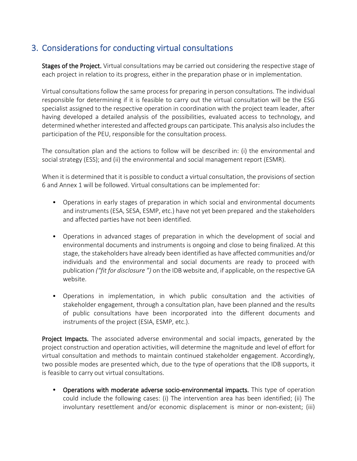# <span id="page-9-0"></span>3. Considerations for conducting virtual consultations

Stages of the Project. Virtual consultations may be carried out considering the respective stage of each project in relation to its progress, either in the preparation phase or in implementation.

Virtual consultations follow the same process for preparing in person consultations. The individual responsible for determining if it is feasible to carry out the virtual consultation will be the ESG specialist assigned to the respective operation in coordination with the project team leader, after having developed a detailed analysis of the possibilities, evaluated access to technology, and determined whether interested and affected groups can participate. This analysis also includes the participation of the PEU, responsible for the consultation process.

The consultation plan and the actions to follow will be described in: (i) the environmental and social strategy (ESS); and (ii) the environmental and social management report (ESMR).

When it is determined that it is possible to conduct a virtual consultation, the provisions of section 6 and Annex 1 will be followed. Virtual consultations can be implemented for:

- Operations in early stages of preparation in which social and environmental documents and instruments (ESA, SESA, ESMP, etc.) have not yet been prepared and the stakeholders and affected parties have not been identified.
- Operations in advanced stages of preparation in which the development of social and environmental documents and instruments is ongoing and close to being finalized. At this stage, the stakeholders have already been identified as have affected communities and/or individuals and the environmental and social documents are ready to proceed with publication *("fit for disclosure ")* on the IDB website and, if applicable, on the respective GA website.
- Operations in implementation, in which public consultation and the activities of stakeholder engagement, through a consultation plan, have been planned and the results of public consultations have been incorporated into the different documents and instruments of the project (ESIA, ESMP, etc.).

Project Impacts. The associated adverse environmental and social impacts, generated by the project construction and operation activities, will determine the magnitude and level of effort for virtual consultation and methods to maintain continued stakeholder engagement. Accordingly, two possible modes are presented which, due to the type of operations that the IDB supports, it is feasible to carry out virtual consultations.

• Operations with moderate adverse socio-environmental impacts. This type of operation could include the following cases: (i) The intervention area has been identified; (ii) The involuntary resettlement and/or economic displacement is minor or non-existent; (iii)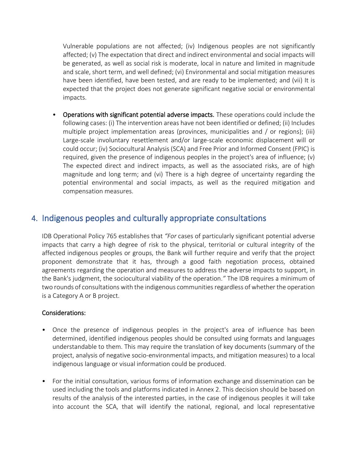Vulnerable populations are not affected; (iv) Indigenous peoples are not significantly affected; (v) The expectation that direct and indirect environmental and social impacts will be generated, as well as social risk is moderate, local in nature and limited in magnitude and scale, short term, and well defined; (vi) Environmental and social mitigation measures have been identified, have been tested, and are ready to be implemented; and (vii) It is expected that the project does not generate significant negative social or environmental impacts.

• Operations with significant potential adverse impacts. These operations could include the following cases: (i) The intervention areas have not been identified or defined; (ii) Includes multiple project implementation areas (provinces, municipalities and / or regions); (iii) Large-scale involuntary resettlement and/or large-scale economic displacement will or could occur; (iv) Sociocultural Analysis (SCA) and Free Prior and Informed Consent (FPIC) is required, given the presence of indigenous peoples in the project's area of influence; (v) The expected direct and indirect impacts, as well as the associated risks, are of high magnitude and long term; and (vi) There is a high degree of uncertainty regarding the potential environmental and social impacts, as well as the required mitigation and compensation measures.

## <span id="page-10-0"></span>4. Indigenous peoples and culturally appropriate consultations

IDB Operational Policy 765 establishes that *"For* cases of particularly significant potential adverse impacts that carry a high degree of risk to the physical, territorial or cultural integrity of the affected indigenous peoples or groups, the Bank will further require and verify that the project proponent demonstrate that it has, through a good faith negotiation process, obtained agreements regarding the operation and measures to address the adverse impacts to support, in the Bank's judgment, the sociocultural viability of the operation.*"* The IDB requires a minimum of two rounds of consultations with the indigenous communities regardless of whether the operation is a Category A or B project.

#### Considerations:

- Once the presence of indigenous peoples in the project's area of influence has been determined, identified indigenous peoples should be consulted using formats and languages understandable to them. This may require the translation of key documents (summary of the project, analysis of negative socio-environmental impacts, and mitigation measures) to a local indigenous language or visual information could be produced.
- For the initial consultation, various forms of information exchange and dissemination can be used including the tools and platforms indicated in Annex 2. This decision should be based on results of the analysis of the interested parties, in the case of indigenous peoples it will take into account the SCA, that will identify the national, regional, and local representative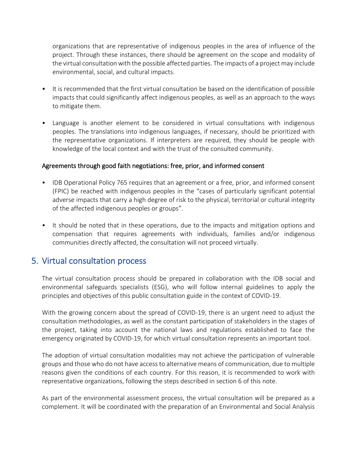organizations that are representative of indigenous peoples in the area of influence of the project. Through these instances, there should be agreement on the scope and modality of the virtual consultation with the possible affected parties. The impacts of a project may include environmental, social, and cultural impacts.

- It is recommended that the first virtual consultation be based on the identification of possible impacts that could significantly affect indigenous peoples, as well as an approach to the ways to mitigate them.
- Language is another element to be considered in virtual consultations with indigenous peoples. The translations into indigenous languages, if necessary, should be prioritized with the representative organizations. If interpreters are required, they should be people with knowledge of the local context and with the trust of the consulted community.

#### Agreements through good faith negotiations: free, prior, and informed consent

- IDB Operational Policy 765 requires that an agreement or a free, prior, and informed consent (FPIC) be reached with indigenous peoples in the "cases of particularly significant potential adverse impacts that carry a high degree of risk to the physical, territorial or cultural integrity of the affected indigenous peoples or groups".
- It should be noted that in these operations, due to the impacts and mitigation options and compensation that requires agreements with individuals, families and/or indigenous communities directly affected, the consultation will not proceed virtually.

## <span id="page-11-0"></span>5. Virtual consultation process

The virtual consultation process should be prepared in collaboration with the IDB social and environmental safeguards specialists (ESG), who will follow internal guidelines to apply the principles and objectives of this public consultation guide in the context of COVID-19.

With the growing concern about the spread of COVID-19, there is an urgent need to adjust the consultation methodologies, as well as the constant participation of stakeholders in the stages of the project, taking into account the national laws and regulations established to face the emergency originated by COVID-19, for which virtual consultation represents an important tool.

The adoption of virtual consultation modalities may not achieve the participation of vulnerable groups and those who do not have access to alternative means of communication, due to multiple reasons given the conditions of each country. For this reason, it is recommended to work with representative organizations, following the steps described in section 6 of this note.

As part of the environmental assessment process, the virtual consultation will be prepared as a complement. It will be coordinated with the preparation of an Environmental and Social Analysis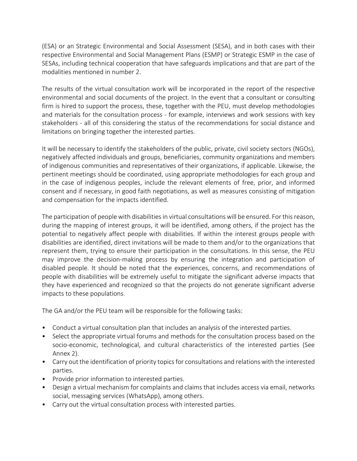(ESA) or an Strategic Environmental and Social Assessment (SESA), and in both cases with their respective Environmental and Social Management Plans (ESMP) or Strategic ESMP in the case of SESAs, including technical cooperation that have safeguards implications and that are part of the modalities mentioned in number 2.

The results of the virtual consultation work will be incorporated in the report of the respective environmental and social documents of the project. In the event that a consultant or consulting firm is hired to support the process, these, together with the PEU, must develop methodologies and materials for the consultation process - for example, interviews and work sessions with key stakeholders - all of this considering the status of the recommendations for social distance and limitations on bringing together the interested parties.

It will be necessary to identify the stakeholders of the public, private, civil society sectors (NGOs), negatively affected individuals and groups, beneficiaries, community organizations and members of indigenous communities and representatives of their organizations, if applicable. Likewise, the pertinent meetings should be coordinated, using appropriate methodologies for each group and in the case of indigenous peoples, include the relevant elements of free, prior, and informed consent and if necessary, in good faith negotiations, as well as measures consisting of mitigation and compensation for the impacts identified.

The participation of people with disabilities in virtual consultations will be ensured. For this reason, during the mapping of interest groups, it will be identified, among others, if the project has the potential to negatively affect people with disabilities. If within the interest groups people with disabilities are identified, direct invitations will be made to them and/or to the organizations that represent them, trying to ensure their participation in the consultations. In this sense, the PEU may improve the decision-making process by ensuring the integration and participation of disabled people. It should be noted that the experiences, concerns, and recommendations of people with disabilities will be extremely useful to mitigate the significant adverse impacts that they have experienced and recognized so that the projects do not generate significant adverse impacts to these populations.

The GA and/or the PEU team will be responsible for the following tasks:

- Conduct a virtual consultation plan that includes an analysis of the interested parties.
- Select the appropriate virtual forums and methods for the consultation process based on the socio-economic, technological, and cultural characteristics of the interested parties (See Annex 2).
- Carry out the identification of priority topics for consultations and relations with the interested parties.
- Provide prior information to interested parties.
- Design a virtual mechanism for complaints and claims that includes access via email, networks social, messaging services (WhatsApp), among others.
- Carry out the virtual consultation process with interested parties.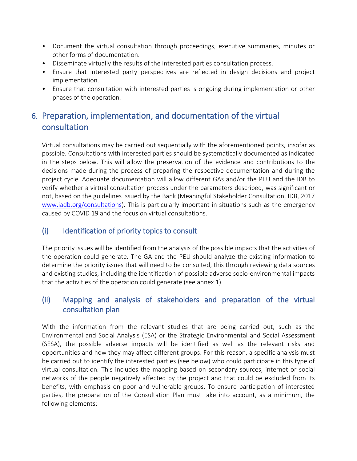- Document the virtual consultation through proceedings, executive summaries, minutes or other forms of documentation.
- Disseminate virtually the results of the interested parties consultation process.
- Ensure that interested party perspectives are reflected in design decisions and project implementation.
- Ensure that consultation with interested parties is ongoing during implementation or other phases of the operation.

# <span id="page-13-0"></span>6. Preparation, implementation, and documentation of the virtual consultation

Virtual consultations may be carried out sequentially with the aforementioned points, insofar as possible. Consultations with interested parties should be systematically documented as indicated in the steps below. This will allow the preservation of the evidence and contributions to the decisions made during the process of preparing the respective documentation and during the project cycle. Adequate documentation will allow different GAs and/or the PEU and the IDB to verify whether a virtual consultation process under the parameters described, was significant or not, based on the guidelines issued by the Bank (Meaningful Stakeholder Consultation, IDB, 2017 [www.iadb.org/consultations\)](https://translate.google.com/translate?hl=en&prev=_t&sl=es&tl=en&u=http://www.iadb.org/consultations). This is particularly important in situations such as the emergency caused by COVID 19 and the focus on virtual consultations.

### <span id="page-13-1"></span>(i) Identification of priority topics to consult

The priority issues will be identified from the analysis of the possible impacts that the activities of the operation could generate. The GA and the PEU should analyze the existing information to determine the priority issues that will need to be consulted, this through reviewing data sources and existing studies, including the identification of possible adverse socio-environmental impacts that the activities of the operation could generate (see annex 1).

## <span id="page-13-2"></span>(ii) Mapping and analysis of stakeholders and preparation of the virtual consultation plan

With the information from the relevant studies that are being carried out, such as the Environmental and Social Analysis (ESA) or the Strategic Environmental and Social Assessment (SESA), the possible adverse impacts will be identified as well as the relevant risks and opportunities and how they may affect different groups. For this reason, a specific analysis must be carried out to identify the interested parties (see below) who could participate in this type of virtual consultation. This includes the mapping based on secondary sources, internet or social networks of the people negatively affected by the project and that could be excluded from its benefits, with emphasis on poor and vulnerable groups. To ensure participation of interested parties, the preparation of the Consultation Plan must take into account, as a minimum, the following elements: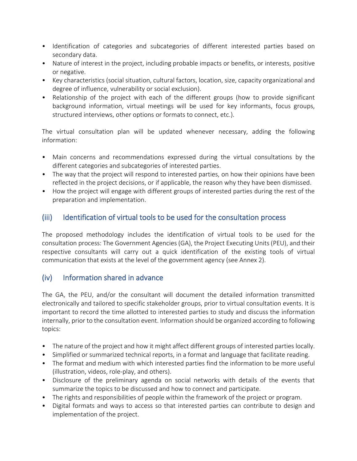- Identification of categories and subcategories of different interested parties based on secondary data.
- Nature of interest in the project, including probable impacts or benefits, or interests, positive or negative.
- Key characteristics (social situation, cultural factors, location, size, capacity organizational and degree of influence, vulnerability or social exclusion).
- Relationship of the project with each of the different groups (how to provide significant background information, virtual meetings will be used for key informants, focus groups, structured interviews, other options or formats to connect, etc.).

The virtual consultation plan will be updated whenever necessary, adding the following information:

- Main concerns and recommendations expressed during the virtual consultations by the different categories and subcategories of interested parties.
- The way that the project will respond to interested parties, on how their opinions have been reflected in the project decisions, or if applicable, the reason why they have been dismissed.
- How the project will engage with different groups of interested parties during the rest of the preparation and implementation.

### <span id="page-14-0"></span>(iii) Identification of virtual tools to be used for the consultation process

The proposed methodology includes the identification of virtual tools to be used for the consultation process: The Government Agencies (GA), the Project Executing Units (PEU), and their respective consultants will carry out a quick identification of the existing tools of virtual communication that exists at the level of the government agency (see Annex 2).

### <span id="page-14-1"></span>(iv) Information shared in advance

The GA, the PEU, and/or the consultant will document the detailed information transmitted electronically and tailored to specific stakeholder groups, prior to virtual consultation events. It is important to record the time allotted to interested parties to study and discuss the information internally, prior to the consultation event. Information should be organized according to following topics:

- The nature of the project and how it might affect different groups of interested parties locally.
- Simplified or summarized technical reports, in a format and language that facilitate reading.
- The format and medium with which interested parties find the information to be more useful (illustration, videos, role-play, and others).
- Disclosure of the preliminary agenda on social networks with details of the events that summarize the topics to be discussed and how to connect and participate.
- The rights and responsibilities of people within the framework of the project or program.
- Digital formats and ways to access so that interested parties can contribute to design and implementation of the project.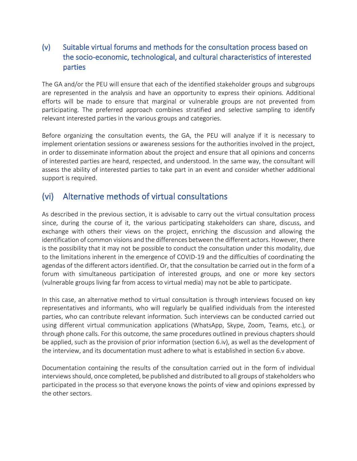## <span id="page-15-0"></span>(v) Suitable virtual forums and methods for the consultation process based on the socio-economic, technological, and cultural characteristics of interested parties

The GA and/or the PEU will ensure that each of the identified stakeholder groups and subgroups are represented in the analysis and have an opportunity to express their opinions. Additional efforts will be made to ensure that marginal or vulnerable groups are not prevented from participating. The preferred approach combines stratified and selective sampling to identify relevant interested parties in the various groups and categories.

Before organizing the consultation events, the GA, the PEU will analyze if it is necessary to implement orientation sessions or awareness sessions for the authorities involved in the project, in order to disseminate information about the project and ensure that all opinions and concerns of interested parties are heard, respected, and understood. In the same way, the consultant will assess the ability of interested parties to take part in an event and consider whether additional support is required.

## <span id="page-15-1"></span>(vi) Alternative methods of virtual consultations

As described in the previous section, it is advisable to carry out the virtual consultation process since, during the course of it, the various participating stakeholders can share, discuss, and exchange with others their views on the project, enriching the discussion and allowing the identification of common visions and the differences between the different actors. However, there is the possibility that it may not be possible to conduct the consultation under this modality, due to the limitations inherent in the emergence of COVID-19 and the difficulties of coordinating the agendas of the different actors identified. Or, that the consultation be carried out in the form of a forum with simultaneous participation of interested groups, and one or more key sectors (vulnerable groups living far from access to virtual media) may not be able to participate.

In this case, an alternative method to virtual consultation is through interviews focused on key representatives and informants, who will regularly be qualified individuals from the interested parties, who can contribute relevant information. Such interviews can be conducted carried out using different virtual communication applications (WhatsApp, Skype, Zoom, Teams, etc.), or through phone calls. For this outcome, the same procedures outlined in previous chapters should be applied, such as the provision of prior information (section 6.iv), as well as the development of the interview, and its documentation must adhere to what is established in section 6.v above.

Documentation containing the results of the consultation carried out in the form of individual interviews should, once completed, be published and distributed to all groups of stakeholders who participated in the process so that everyone knows the points of view and opinions expressed by the other sectors.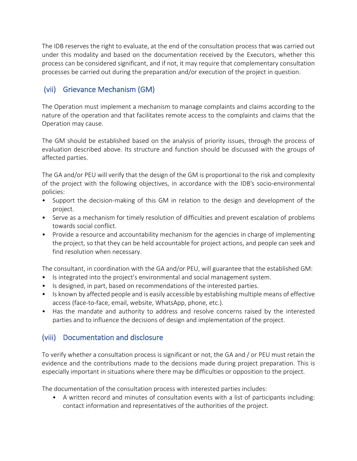The IDB reserves the right to evaluate, at the end of the consultation process that was carried out under this modality and based on the documentation received by the Executors, whether this process can be considered significant, and if not, it may require that complementary consultation processes be carried out during the preparation and/or execution of the project in question.

## <span id="page-16-0"></span>(vii) Grievance Mechanism (GM)

The Operation must implement a mechanism to manage complaints and claims according to the nature of the operation and that facilitates remote access to the complaints and claims that the Operation may cause.

The GM should be established based on the analysis of priority issues, through the process of evaluation described above. Its structure and function should be discussed with the groups of affected parties.

The GA and/or PEU will verify that the design of the GM is proportional to the risk and complexity of the project with the following objectives, in accordance with the IDB's socio-environmental policies:

- Support the decision-making of this GM in relation to the design and development of the project.
- Serve as a mechanism for timely resolution of difficulties and prevent escalation of problems towards social conflict.
- Provide a resource and accountability mechanism for the agencies in charge of implementing the project, so that they can be held accountable for project actions, and people can seek and find resolution when necessary.

The consultant, in coordination with the GA and/or PEU, will guarantee that the established GM:

- Is integrated into the project's environmental and social management system.
- Is designed, in part, based on recommendations of the interested parties.
- Is known by affected people and is easily accessible by establishing multiple means of effective access (face-to-face, email, website, WhatsApp, phone, etc.).
- Has the mandate and authority to address and resolve concerns raised by the interested parties and to influence the decisions of design and implementation of the project.

## <span id="page-16-1"></span>(viii) Documentation and disclosure

To verify whether a consultation process is significant or not, the GA and / or PEU must retain the evidence and the contributions made to the decisions made during project preparation. This is especially important in situations where there may be difficulties or opposition to the project.

The documentation of the consultation process with interested parties includes:

• A written record and minutes of consultation events with a list of participants including: contact information and representatives of the authorities of the project.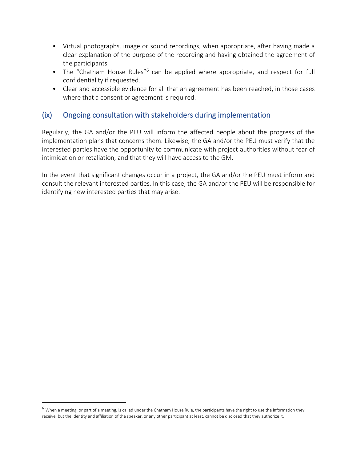- Virtual photographs, image or sound recordings, when appropriate, after having made a clear explanation of the purpose of the recording and having obtained the agreement of the participants.
- The "Chatham House Rules"<sup>6</sup> can be applied where appropriate, and respect for full confidentiality if requested.
- Clear and accessible evidence for all that an agreement has been reached, in those cases where that a consent or agreement is required.

### <span id="page-17-0"></span>(ix) Ongoing consultation with stakeholders during implementation

Regularly, the GA and/or the PEU will inform the affected people about the progress of the implementation plans that concerns them. Likewise, the GA and/or the PEU must verify that the interested parties have the opportunity to communicate with project authorities without fear of intimidation or retaliation, and that they will have access to the GM.

In the event that significant changes occur in a project, the GA and/or the PEU must inform and consult the relevant interested parties. In this case, the GA and/or the PEU will be responsible for identifying new interested parties that may arise.

<sup>6</sup> When a meeting, or part of a meeting, is called under the Chatham House Rule, the participants have the right to use the information they receive, but the identity and affiliation of the speaker, or any other participant at least, cannot be disclosed that they authorize it.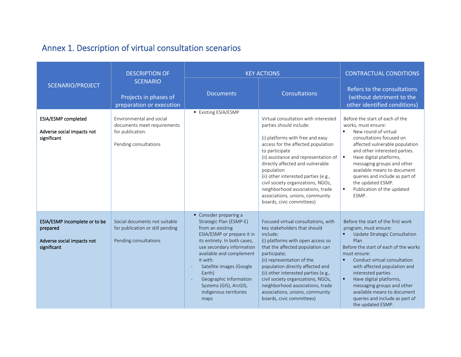# Annex 1. Description of virtual consultation scenarios

<span id="page-18-0"></span>

|                                                                                        | <b>DESCRIPTION OF</b>                                                                                |                                                                                                                                                                                                                                                                                                                                    | <b>KEY ACTIONS</b>                                                                                                                                                                                                                                                                                                                                                                                                                       | <b>CONTRACTUAL CONDITIONS</b>                                                                                                                                                                                                                                                                                                                                                                                                               |
|----------------------------------------------------------------------------------------|------------------------------------------------------------------------------------------------------|------------------------------------------------------------------------------------------------------------------------------------------------------------------------------------------------------------------------------------------------------------------------------------------------------------------------------------|------------------------------------------------------------------------------------------------------------------------------------------------------------------------------------------------------------------------------------------------------------------------------------------------------------------------------------------------------------------------------------------------------------------------------------------|---------------------------------------------------------------------------------------------------------------------------------------------------------------------------------------------------------------------------------------------------------------------------------------------------------------------------------------------------------------------------------------------------------------------------------------------|
| SCENARIO/PROJECT                                                                       | <b>SCENARIO</b><br>Projects in phases of<br>preparation or execution                                 | <b>Documents</b>                                                                                                                                                                                                                                                                                                                   | <b>Consultations</b>                                                                                                                                                                                                                                                                                                                                                                                                                     | Refers to the consultations<br>(without detriment to the<br>other identified conditions)                                                                                                                                                                                                                                                                                                                                                    |
| ESIA/ESMP completed<br>Adverse social impacts not<br>significant                       | Environmental and social<br>documents meet requirements<br>for publication.<br>Pending consultations | ■ Existing ESIA/ESMP                                                                                                                                                                                                                                                                                                               | Virtual consultation with interested<br>parties should include:<br>(i) platforms with free and easy<br>access for the affected population<br>to participate<br>(ii) assistance and representation of<br>directly affected and vulnerable<br>population<br>(ii) other interested parties (e.g.,<br>civil society organizations, NGOs,<br>neighborhood associations, trade<br>associations, unions, community<br>boards, civic committees) | Before the start of each of the<br>works, must ensure:<br>New round of virtual<br>consultations focused on<br>affected vulnerable population<br>and other interested parties.<br>Have digital platforms,<br>$\blacksquare$<br>messaging groups and other<br>available means to document<br>queries and include as part of<br>the updated ESMP.<br>Publication of the updated<br>$\blacksquare$<br>ESMP.                                     |
| ESIA/ESMP incomplete or to be<br>prepared<br>Adverse social impacts not<br>significant | Social documents not suitable<br>for publication or still pending<br>Pending consultations           | Consider preparing a<br>Strategic Plan (ESMP-E)<br>from an existing<br>ESIA/ESMP or prepare it in<br>its entirety. In both cases,<br>use secondary information<br>available and complement<br>it with:<br>Satellite images (Google<br>Earth)<br>Geographic Information<br>Systems (GIS), ArcGIS,<br>indigenous territories<br>maps | Focused virtual consultations, with<br>key stakeholders that should<br>include:<br>(i) platforms with open access so<br>that the affected population can<br>participate;<br>(ii) representation of the<br>population directly affected and<br>(ii) other interested parties (e.g.,<br>civil society organizations, NGOs,<br>neighborhood associations, trade<br>associations, unions, community<br>boards, civic committees)             | Before the start of the first work<br>program, must ensure:<br>Update Strategic Consultation<br>п<br>Plan<br>Before the start of each of the works<br>must ensure:<br>Conduct virtual consultation<br>$\blacksquare$<br>with affected population and<br>interested parties<br>Have digital platforms,<br>$\blacksquare$<br>messaging groups and other<br>available means to document<br>queries and include as part of<br>the updated ESMP. |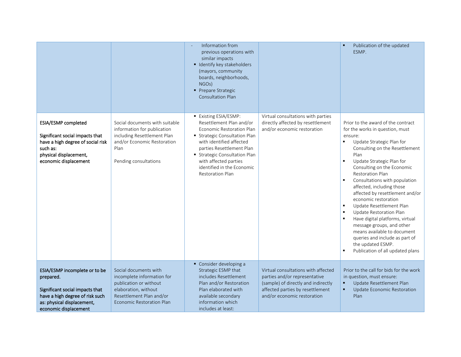|                                                                                                                                                                         |                                                                                                                                                                       | Information from<br>previous operations with<br>similar impacts<br>■ Identify key stakeholders<br>(mayors, community<br>boards, neighborhoods,<br>NGO <sub>s</sub> )<br>Prepare Strategic<br><b>Consultation Plan</b>                                                                          |                                                                                                                                                                                | Publication of the updated<br>ESMP.                                                                                                                                                                                                                                                                                                                                                                                                                                                                                                                                                                                                                                                               |
|-------------------------------------------------------------------------------------------------------------------------------------------------------------------------|-----------------------------------------------------------------------------------------------------------------------------------------------------------------------|------------------------------------------------------------------------------------------------------------------------------------------------------------------------------------------------------------------------------------------------------------------------------------------------|--------------------------------------------------------------------------------------------------------------------------------------------------------------------------------|---------------------------------------------------------------------------------------------------------------------------------------------------------------------------------------------------------------------------------------------------------------------------------------------------------------------------------------------------------------------------------------------------------------------------------------------------------------------------------------------------------------------------------------------------------------------------------------------------------------------------------------------------------------------------------------------------|
| ESIA/ESMP completed<br>Significant social impacts that<br>have a high degree of social risk<br>such as:<br>physical displacement,<br>economic displacement              | Social documents with suitable<br>information for publication<br>including Resettlement Plan<br>and/or Economic Restoration<br>Plan<br>Pending consultations          | ■ Existing ESIA/ESMP:<br>Resettlement Plan and/or<br>Economic Restoration Plan<br><b>Strategic Consultation Plan</b><br>with identified affected<br>parties Resettlement Plan<br>Strategic Consultation Plan<br>with affected parties<br>identified in the Economic<br><b>Restoration Plan</b> | Virtual consultations with parties<br>directly affected by resettlement<br>and/or economic restoration                                                                         | Prior to the award of the contract<br>for the works in question, must<br>ensure:<br>Update Strategic Plan for<br>٠<br>Consulting on the Resettlement<br>Plan<br>Update Strategic Plan for<br>٠<br>Consulting on the Economic<br><b>Restoration Plan</b><br>Consultations with population<br>$\blacksquare$<br>affected, including those<br>affected by resettlement and/or<br>economic restoration<br>Update Resettlement Plan<br>$\blacksquare$<br>Update Restoration Plan<br>٠<br>Have digital platforms, virtual<br>$\blacksquare$<br>message groups, and other<br>means available to document<br>queries and include as part of<br>the updated ESMP.<br>Publication of all updated plans<br>٠ |
| ESIA/ESMP incomplete or to be<br>prepared.<br>Significant social impacts that<br>have a high degree of risk such<br>as: physical displacement,<br>economic displacement | Social documents with<br>incomplete information for<br>publication or without<br>elaboration, without<br>Resettlement Plan and/or<br><b>Economic Restoration Plan</b> | Consider developing a<br>Strategic ESMP that<br>includes Resettlement<br>Plan and/or Restoration<br>Plan elaborated with<br>available secondary<br>information which<br>includes at least:                                                                                                     | Virtual consultations with affected<br>parties and/or representative<br>(sample) of directly and indirectly<br>affected parties by resettlement<br>and/or economic restoration | Prior to the call for bids for the work<br>in question, must ensure:<br>Update Resettlement Plan<br>Update Economic Restoration<br>$\blacksquare$<br>Plan                                                                                                                                                                                                                                                                                                                                                                                                                                                                                                                                         |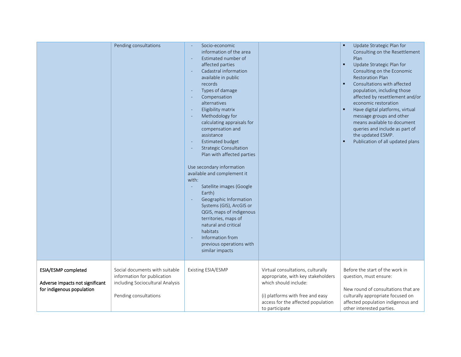|                                                                                     | Pending consultations                                                                                                      | Socio-economic<br>information of the area<br>Estimated number of<br>affected parties<br>Cadastral information<br>available in public<br>records<br>Types of damage<br>Compensation<br>alternatives<br>Eligibility matrix<br>Methodology for<br>calculating appraisals for<br>compensation and<br>assistance<br>Estimated budget<br><b>Strategic Consultation</b><br>Plan with affected parties<br>Use secondary information<br>available and complement it<br>with:<br>Satellite images (Google<br>Earth)<br>Geographic Information<br>Systems (GIS), ArcGIS or<br>QGIS, maps of indigenous<br>territories, maps of<br>natural and critical<br>habitats<br>Information from<br>previous operations with<br>similar impacts |                                                                                                                                                                                              | Update Strategic Plan for<br>Consulting on the Resettlement<br>Plan<br>Update Strategic Plan for<br>٠<br>Consulting on the Economic<br><b>Restoration Plan</b><br>Consultations with affected<br>population, including those<br>affected by resettlement and/or<br>economic restoration<br>Have digital platforms, virtual<br>٠<br>message groups and other<br>means available to document<br>queries and include as part of<br>the updated ESMP.<br>Publication of all updated plans |
|-------------------------------------------------------------------------------------|----------------------------------------------------------------------------------------------------------------------------|----------------------------------------------------------------------------------------------------------------------------------------------------------------------------------------------------------------------------------------------------------------------------------------------------------------------------------------------------------------------------------------------------------------------------------------------------------------------------------------------------------------------------------------------------------------------------------------------------------------------------------------------------------------------------------------------------------------------------|----------------------------------------------------------------------------------------------------------------------------------------------------------------------------------------------|---------------------------------------------------------------------------------------------------------------------------------------------------------------------------------------------------------------------------------------------------------------------------------------------------------------------------------------------------------------------------------------------------------------------------------------------------------------------------------------|
| ESIA/ESMP completed<br>Adverse impacts not significant<br>for indigenous population | Social documents with suitable<br>information for publication<br>including Sociocultural Analysis<br>Pending consultations | Existing ESIA/ESMP                                                                                                                                                                                                                                                                                                                                                                                                                                                                                                                                                                                                                                                                                                         | Virtual consultations, culturally<br>appropriate, with key stakeholders<br>which should include:<br>(i) platforms with free and easy<br>access for the affected population<br>to participate | Before the start of the work in<br>question, must ensure:<br>New round of consultations that are<br>culturally appropriate focused on<br>affected population indigenous and<br>other interested parties.                                                                                                                                                                                                                                                                              |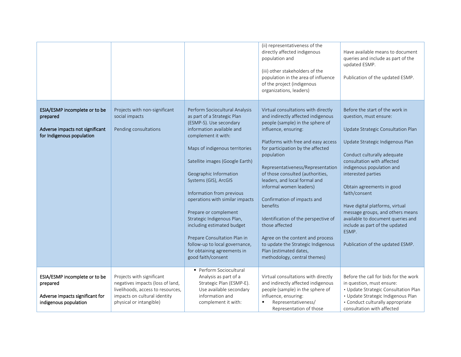|                                                                                                           |                                                                                                                                                               |                                                                                                                                                                                                                                                                                                                                                                                                                                                                                                                                                  | (ii) representativeness of the<br>directly affected indigenous<br>population and<br>(iii) other stakeholders of the<br>population in the area of influence<br>of the project (indigenous<br>organizations, leaders)                                                                                                                                                                                                                                                                                                                                                                                           | Have available means to document<br>queries and include as part of the<br>updated ESMP.<br>Publication of the updated ESMP.                                                                                                                                                                                                                                                                                                                                                                  |
|-----------------------------------------------------------------------------------------------------------|---------------------------------------------------------------------------------------------------------------------------------------------------------------|--------------------------------------------------------------------------------------------------------------------------------------------------------------------------------------------------------------------------------------------------------------------------------------------------------------------------------------------------------------------------------------------------------------------------------------------------------------------------------------------------------------------------------------------------|---------------------------------------------------------------------------------------------------------------------------------------------------------------------------------------------------------------------------------------------------------------------------------------------------------------------------------------------------------------------------------------------------------------------------------------------------------------------------------------------------------------------------------------------------------------------------------------------------------------|----------------------------------------------------------------------------------------------------------------------------------------------------------------------------------------------------------------------------------------------------------------------------------------------------------------------------------------------------------------------------------------------------------------------------------------------------------------------------------------------|
| ESIA/ESMP incomplete or to be<br>prepared<br>Adverse impacts not significant<br>for Indigenous population | Projects with non-significant<br>social impacts<br>Pending consultations                                                                                      | Perform Sociocultural Analysis<br>as part of a Strategic Plan<br>(ESMP-S). Use secondary<br>information available and<br>complement it with:<br>Maps of indigenous territories<br>Satellite images (Google Earth)<br>Geographic Information<br>Systems (GIS), ArcGIS<br>Information from previous<br>operations with similar impacts<br>Prepare or complement<br>Strategic Indigenous Plan,<br>including estimated budget<br>Prepare Consultation Plan in<br>follow-up to local governance,<br>for obtaining agreements in<br>good faith/consent | Virtual consultations with directly<br>and indirectly affected indigenous<br>people (sample) in the sphere of<br>influence, ensuring:<br>Platforms with free and easy access<br>for participation by the affected<br>population<br>Representativeness/Representation<br>of those consulted (authorities,<br>leaders, and local formal and<br>informal women leaders)<br>Confirmation of impacts and<br>benefits<br>Identification of the perspective of<br>those affected<br>Agree on the content and process<br>to update the Strategic Indigenous<br>Plan (estimated dates,<br>methodology, central themes) | Before the start of the work in<br>question, must ensure:<br>Update Strategic Consultation Plan<br>Update Strategic Indigenous Plan<br>Conduct culturally adequate<br>consultation with affected<br>indigenous population and<br>interested parties<br>Obtain agreements in good<br>faith/consent<br>Have digital platforms, virtual<br>message groups, and others means<br>available to document queries and<br>include as part of the updated<br>ESMP.<br>Publication of the updated ESMP. |
| ESIA/ESMP incomplete or to be<br>prepared<br>Adverse impacts significant for<br>indigenous population     | Projects with significant<br>negatives impacts (loss of land,<br>livelihoods, access to resources,<br>impacts on cultural identity<br>physical or intangible) | Perform Sociocultural<br>Analysis as part of a<br>Strategic Plan (ESMP-E).<br>Use available secondary<br>information and<br>complement it with:                                                                                                                                                                                                                                                                                                                                                                                                  | Virtual consultations with directly<br>and indirectly affected indigenous<br>people (sample) in the sphere of<br>influence, ensuring:<br>Representativeness/<br>٠<br>Representation of those                                                                                                                                                                                                                                                                                                                                                                                                                  | Before the call for bids for the work<br>in question, must ensure:<br>• Update Strategic Consultation Plan<br>· Update Strategic Indigenous Plan<br>· Conduct culturally appropriate<br>consultation with affected                                                                                                                                                                                                                                                                           |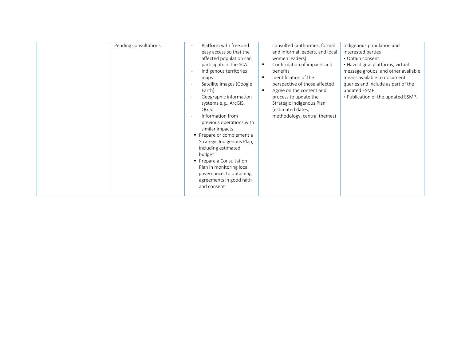| agreements in good faith<br>and consent |  | Pending consultations | Platform with free and<br>easy access so that the<br>affected population can<br>participate in the SCA<br>Indigenous territories<br>maps<br>Satellite images (Google<br>Earth)<br>Geographic information<br>systems e.g., ArcGIS,<br>QGIS.<br>Information from<br>$\overline{\phantom{a}}$<br>previous operations with<br>similar impacts<br>• Prepare or complement a<br>Strategic Indigenous Plan,<br>including estimated<br>budget<br>Prepare a Consultation<br>Plan in monitoring local<br>governance, to obtaining | consulted (authorities, formal<br>and informal leaders, and local<br>women leaders)<br>Confirmation of impacts and<br>٠<br>benefits<br>Identification of the<br>$\blacksquare$<br>perspective of those affected<br>Agree on the content and<br>$\blacksquare$<br>process to update the<br>Strategic Indigenous Plan<br>(estimated dates,<br>methodology, central themes) | indigenous population and<br>interested parties<br>• Obtain consent<br>• Have digital platforms, virtual<br>message groups, and other available<br>means available to document<br>queries and include as part of the<br>updated ESMP.<br>. Publication of the updated ESMP. |
|-----------------------------------------|--|-----------------------|-------------------------------------------------------------------------------------------------------------------------------------------------------------------------------------------------------------------------------------------------------------------------------------------------------------------------------------------------------------------------------------------------------------------------------------------------------------------------------------------------------------------------|--------------------------------------------------------------------------------------------------------------------------------------------------------------------------------------------------------------------------------------------------------------------------------------------------------------------------------------------------------------------------|-----------------------------------------------------------------------------------------------------------------------------------------------------------------------------------------------------------------------------------------------------------------------------|
|-----------------------------------------|--|-----------------------|-------------------------------------------------------------------------------------------------------------------------------------------------------------------------------------------------------------------------------------------------------------------------------------------------------------------------------------------------------------------------------------------------------------------------------------------------------------------------------------------------------------------------|--------------------------------------------------------------------------------------------------------------------------------------------------------------------------------------------------------------------------------------------------------------------------------------------------------------------------------------------------------------------------|-----------------------------------------------------------------------------------------------------------------------------------------------------------------------------------------------------------------------------------------------------------------------------|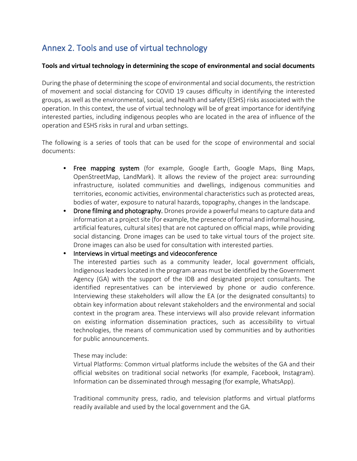# <span id="page-23-0"></span>Annex 2. Tools and use of virtual technology

#### **Tools and virtual technology in determining the scope of environmental and social documents**

During the phase of determining the scope of environmental and social documents, the restriction of movement and social distancing for COVID 19 causes difficulty in identifying the interested groups, as well as the environmental, social, and health and safety (ESHS) risks associated with the operation. In this context, the use of virtual technology will be of great importance for identifying interested parties, including indigenous peoples who are located in the area of influence of the operation and ESHS risks in rural and urban settings.

The following is a series of tools that can be used for the scope of environmental and social documents:

- Free mapping system (for example, Google Earth, Google Maps, Bing Maps, OpenStreetMap, LandMark). It allows the review of the project area: surrounding infrastructure, isolated communities and dwellings, indigenous communities and territories, economic activities, environmental characteristics such as protected areas, bodies of water, exposure to natural hazards, topography, changes in the landscape.
- Drone filming and photography. Drones provide a powerful means to capture data and information at a project site (for example, the presence of formal and informal housing, artificial features, cultural sites) that are not captured on official maps, while providing social distancing. Drone images can be used to take virtual tours of the project site. Drone images can also be used for consultation with interested parties.

#### • Interviews in virtual meetings and videoconference

The interested parties such as a community leader, local government officials, Indigenous leaders located in the program areas must be identified by the Government Agency (GA) with the support of the IDB and designated project consultants. The identified representatives can be interviewed by phone or audio conference. Interviewing these stakeholders will allow the EA (or the designated consultants) to obtain key information about relevant stakeholders and the environmental and social context in the program area. These interviews will also provide relevant information on existing information dissemination practices, such as accessibility to virtual technologies, the means of communication used by communities and by authorities for public announcements.

These may include:

Virtual Platforms: Common virtual platforms include the websites of the GA and their official websites on traditional social networks (for example, Facebook, Instagram). Information can be disseminated through messaging (for example, WhatsApp).

Traditional community press, radio, and television platforms and virtual platforms readily available and used by the local government and the GA.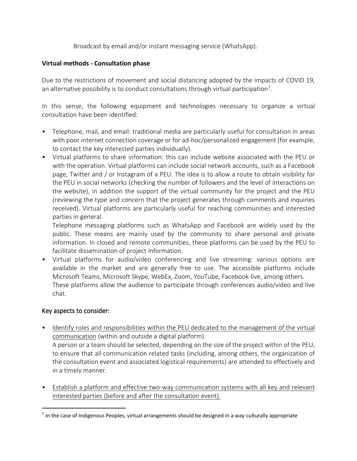Broadcast by email and/or instant messaging service (WhatsApp).

#### **Virtual methods - Consultation phase**

Due to the restrictions of movement and social distancing adopted by the impacts of COVID 19, an alternative possibility is to conduct consultations through virtual participation<sup>7</sup>.

In this sense, the following equipment and technologies necessary to organize a virtual consultation have been identified:

- Telephone, mail, and email: traditional media are particularly useful for consultation in areas with poor internet connection coverage or for ad-hoc/personalized engagement (for example, to contact the key interested parties individually).
- Virtual platforms to share information: this can include website associated with the PEU or with the operation. Virtual platforms can include social network accounts, such as a Facebook page, Twitter and / or Instagram of a PEU. The idea is to allow a route to obtain visibility for the PEU in social networks (checking the number of followers and the level of interactions on the website), in addition the support of the virtual community for the project and the PEU (reviewing the type and concern that the project generates through comments and inquiries received). Virtual platforms are particularly useful for reaching communities and interested parties in general.

Telephone messaging platforms such as WhatsApp and Facebook are widely used by the public. These means are mainly used by the community to share personal and private information. In closed and remote communities, these platforms can be used by the PEU to facilitate dissemination of project information.

• Virtual platforms for audio/video conferencing and live streaming: various options are available in the market and are generally free to use. The accessible platforms include Microsoft Teams, Microsoft Skype, WebEx, Zoom, YouTube, Facebook-live, among others. These platforms allow the audience to participate through conferences audio/video and live chat.

#### Key aspects to consider:

• Identify roles and responsibilities within the PEU dedicated to the management of the virtual communication (within and outside a digital platform).

A person or a team should be selected, depending on the size of the project within of the PEU, to ensure that all communication related tasks (including, among others, the organization of the consultation event and associated logistical requirements) are attended to effectively and in a timely manner.

• Establish a platform and effective two-way communication systems with all key and relevant interested parties (before and after the consultation event).

 $<sup>7</sup>$  In the case of Indigenous Peoples, virtual arrangements should be designed in a way culturally appropriate</sup>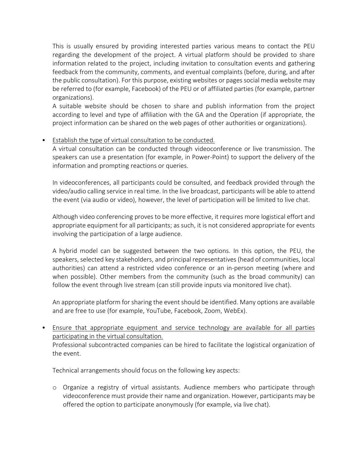This is usually ensured by providing interested parties various means to contact the PEU regarding the development of the project. A virtual platform should be provided to share information related to the project, including invitation to consultation events and gathering feedback from the community, comments, and eventual complaints (before, during, and after the public consultation). For this purpose, existing websites or pages social media website may be referred to (for example, Facebook) of the PEU or of affiliated parties (for example, partner organizations).

A suitable website should be chosen to share and publish information from the project according to level and type of affiliation with the GA and the Operation (if appropriate, the project information can be shared on the web pages of other authorities or organizations).

#### • Establish the type of virtual consultation to be conducted.

A virtual consultation can be conducted through videoconference or live transmission. The speakers can use a presentation (for example, in Power-Point) to support the delivery of the information and prompting reactions or queries.

In videoconferences, all participants could be consulted, and feedback provided through the video/audio calling service in real time. In the live broadcast, participants will be able to attend the event (via audio or video), however, the level of participation will be limited to live chat.

Although video conferencing proves to be more effective, it requires more logistical effort and appropriate equipment for all participants; as such, it is not considered appropriate for events involving the participation of a large audience.

A hybrid model can be suggested between the two options. In this option, the PEU, the speakers, selected key stakeholders, and principal representatives (head of communities, local authorities) can attend a restricted video conference or an in-person meeting (where and when possible). Other members from the community (such as the broad community) can follow the event through live stream (can still provide inputs via monitored live chat).

An appropriate platform for sharing the event should be identified. Many options are available and are free to use (for example, YouTube, Facebook, Zoom, WebEx).

• Ensure that appropriate equipment and service technology are available for all parties participating in the virtual consultation. Professional subcontracted companies can be hired to facilitate the logistical organization of the event.

Technical arrangements should focus on the following key aspects:

o Organize a registry of virtual assistants. Audience members who participate through videoconference must provide their name and organization. However, participants may be offered the option to participate anonymously (for example, via live chat).